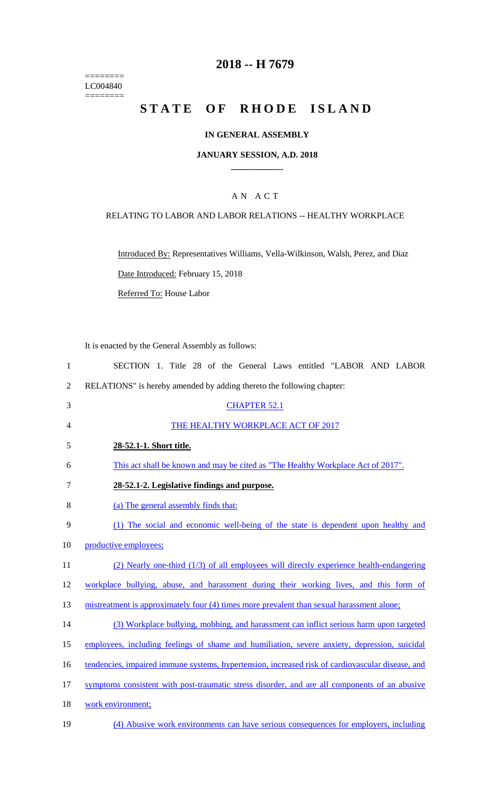======== LC004840  $=$ 

## **2018 -- H 7679**

# STATE OF RHODE ISLAND

## **IN GENERAL ASSEMBLY**

#### **JANUARY SESSION, A.D. 2018 \_\_\_\_\_\_\_\_\_\_\_\_**

## A N A C T

## RELATING TO LABOR AND LABOR RELATIONS -- HEALTHY WORKPLACE

Introduced By: Representatives Williams, Vella-Wilkinson, Walsh, Perez, and Diaz

Date Introduced: February 15, 2018

Referred To: House Labor

It is enacted by the General Assembly as follows:

| $\mathbf{1}$   | SECTION 1. Title 28 of the General Laws entitled "LABOR AND LABOR                                |
|----------------|--------------------------------------------------------------------------------------------------|
| $\overline{2}$ | RELATIONS" is hereby amended by adding thereto the following chapter:                            |
| 3              | <b>CHAPTER 52.1</b>                                                                              |
| 4              | THE HEALTHY WORKPLACE ACT OF 2017                                                                |
| 5              | 28-52.1-1. Short title.                                                                          |
| 6              | This act shall be known and may be cited as "The Healthy Workplace Act of 2017".                 |
| 7              | 28-52.1-2. Legislative findings and purpose.                                                     |
| 8              | (a) The general assembly finds that:                                                             |
| 9              | (1) The social and economic well-being of the state is dependent upon healthy and                |
| 10             | productive employees;                                                                            |
| 11             | $(2)$ Nearly one-third $(1/3)$ of all employees will directly experience health-endangering      |
| 12             | workplace bullying, abuse, and harassment during their working lives, and this form of           |
| 13             | mistreatment is approximately four (4) times more prevalent than sexual harassment alone;        |
| 14             | (3) Workplace bullying, mobbing, and harassment can inflict serious harm upon targeted           |
| 15             | employees, including feelings of shame and humiliation, severe anxiety, depression, suicidal     |
| 16             | tendencies, impaired immune systems, hypertension, increased risk of cardiovascular disease, and |
| 17             | symptoms consistent with post-traumatic stress disorder, and are all components of an abusive    |
| 18             | work environment;                                                                                |
| 19             | (4) Abusive work environments can have serious consequences for employers, including             |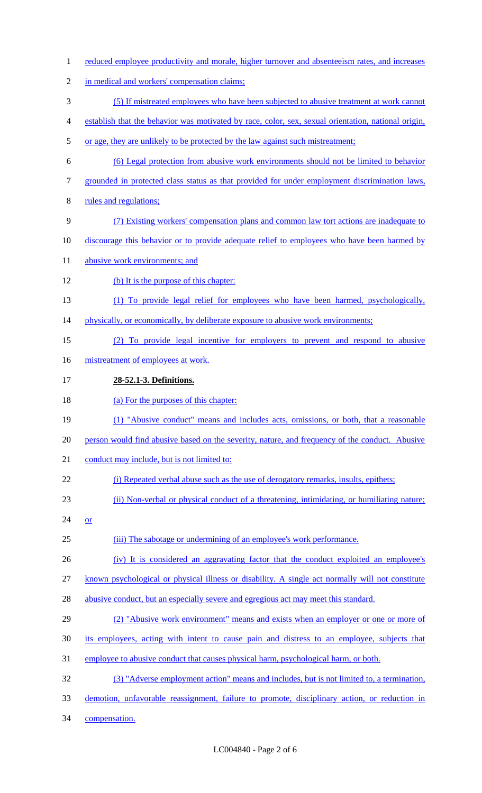reduced employee productivity and morale, higher turnover and absenteeism rates, and increases in medical and workers' compensation claims; (5) If mistreated employees who have been subjected to abusive treatment at work cannot establish that the behavior was motivated by race, color, sex, sexual orientation, national origin, 5 or age, they are unlikely to be protected by the law against such mistreatment; (6) Legal protection from abusive work environments should not be limited to behavior grounded in protected class status as that provided for under employment discrimination laws, rules and regulations; (7) Existing workers' compensation plans and common law tort actions are inadequate to discourage this behavior or to provide adequate relief to employees who have been harmed by 11 abusive work environments; and (b) It is the purpose of this chapter: (1) To provide legal relief for employees who have been harmed, psychologically, 14 physically, or economically, by deliberate exposure to abusive work environments; (2) To provide legal incentive for employers to prevent and respond to abusive 16 mistreatment of employees at work. **28-52.1-3. Definitions.** 18 (a) For the purposes of this chapter: (1) "Abusive conduct" means and includes acts, omissions, or both, that a reasonable person would find abusive based on the severity, nature, and frequency of the conduct. Abusive 21 conduct may include, but is not limited to: (i) Repeated verbal abuse such as the use of derogatory remarks, insults, epithets; (ii) Non-verbal or physical conduct of a threatening, intimidating, or humiliating nature; 24  $or$  (iii) The sabotage or undermining of an employee's work performance. 26 (iv) It is considered an aggravating factor that the conduct exploited an employee's known psychological or physical illness or disability. A single act normally will not constitute 28 abusive conduct, but an especially severe and egregious act may meet this standard. (2) "Abusive work environment" means and exists when an employer or one or more of its employees, acting with intent to cause pain and distress to an employee, subjects that employee to abusive conduct that causes physical harm, psychological harm, or both. (3) "Adverse employment action" means and includes, but is not limited to, a termination, demotion, unfavorable reassignment, failure to promote, disciplinary action, or reduction in compensation.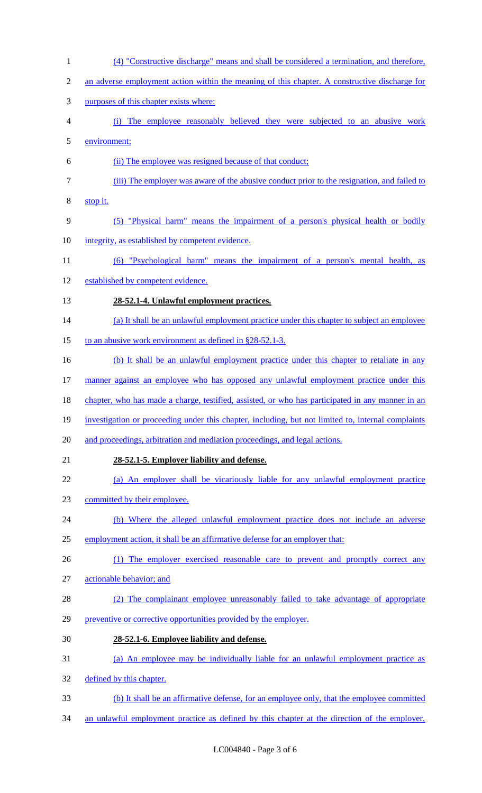(4) "Constructive discharge" means and shall be considered a termination, and therefore, 2 an adverse employment action within the meaning of this chapter. A constructive discharge for purposes of this chapter exists where: (i) The employee reasonably believed they were subjected to an abusive work environment; (ii) The employee was resigned because of that conduct; (iii) The employer was aware of the abusive conduct prior to the resignation, and failed to stop it. (5) "Physical harm" means the impairment of a person's physical health or bodily integrity, as established by competent evidence. (6) "Psychological harm" means the impairment of a person's mental health, as established by competent evidence. **28-52.1-4. Unlawful employment practices.** 14 (a) It shall be an unlawful employment practice under this chapter to subject an employee 15 to an abusive work environment as defined in §28-52.1-3. 16 (b) It shall be an unlawful employment practice under this chapter to retaliate in any 17 manner against an employee who has opposed any unlawful employment practice under this 18 chapter, who has made a charge, testified, assisted, or who has participated in any manner in an investigation or proceeding under this chapter, including, but not limited to, internal complaints and proceedings, arbitration and mediation proceedings, and legal actions. **28-52.1-5. Employer liability and defense.** (a) An employer shall be vicariously liable for any unlawful employment practice committed by their employee. 24 (b) Where the alleged unlawful employment practice does not include an adverse 25 employment action, it shall be an affirmative defense for an employer that: 26 (1) The employer exercised reasonable care to prevent and promptly correct any actionable behavior; and (2) The complainant employee unreasonably failed to take advantage of appropriate preventive or corrective opportunities provided by the employer. **28-52.1-6. Employee liability and defense.** (a) An employee may be individually liable for an unlawful employment practice as defined by this chapter. (b) It shall be an affirmative defense, for an employee only, that the employee committed an unlawful employment practice as defined by this chapter at the direction of the employer,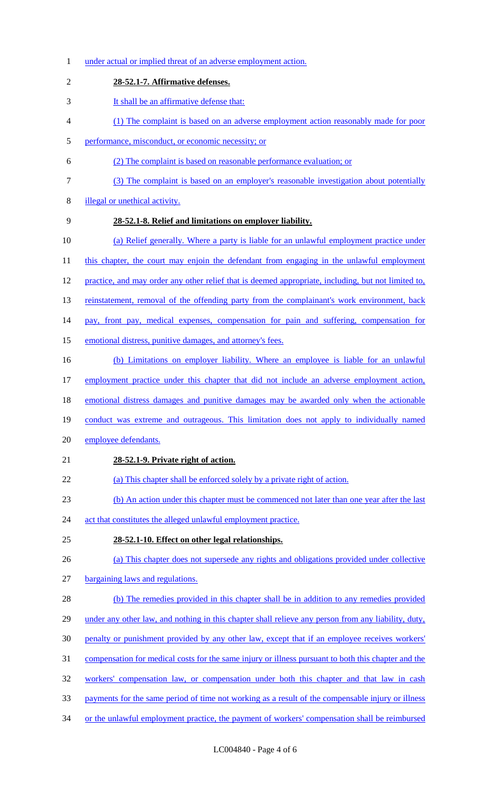under actual or implied threat of an adverse employment action. **28-52.1-7. Affirmative defenses.** It shall be an affirmative defense that: (1) The complaint is based on an adverse employment action reasonably made for poor performance, misconduct, or economic necessity; or (2) The complaint is based on reasonable performance evaluation; or (3) The complaint is based on an employer's reasonable investigation about potentially illegal or unethical activity. **28-52.1-8. Relief and limitations on employer liability.**  (a) Relief generally. Where a party is liable for an unlawful employment practice under 11 this chapter, the court may enjoin the defendant from engaging in the unlawful employment 12 practice, and may order any other relief that is deemed appropriate, including, but not limited to, 13 reinstatement, removal of the offending party from the complainant's work environment, back pay, front pay, medical expenses, compensation for pain and suffering, compensation for emotional distress, punitive damages, and attorney's fees. (b) Limitations on employer liability. Where an employee is liable for an unlawful 17 employment practice under this chapter that did not include an adverse employment action, 18 emotional distress damages and punitive damages may be awarded only when the actionable conduct was extreme and outrageous. This limitation does not apply to individually named employee defendants. **28-52.1-9. Private right of action.** (a) This chapter shall be enforced solely by a private right of action. (b) An action under this chapter must be commenced not later than one year after the last 24 act that constitutes the alleged unlawful employment practice. **28-52.1-10. Effect on other legal relationships.**  (a) This chapter does not supersede any rights and obligations provided under collective bargaining laws and regulations. (b) The remedies provided in this chapter shall be in addition to any remedies provided 29 under any other law, and nothing in this chapter shall relieve any person from any liability, duty, penalty or punishment provided by any other law, except that if an employee receives workers' compensation for medical costs for the same injury or illness pursuant to both this chapter and the workers' compensation law, or compensation under both this chapter and that law in cash payments for the same period of time not working as a result of the compensable injury or illness 34 or the unlawful employment practice, the payment of workers' compensation shall be reimbursed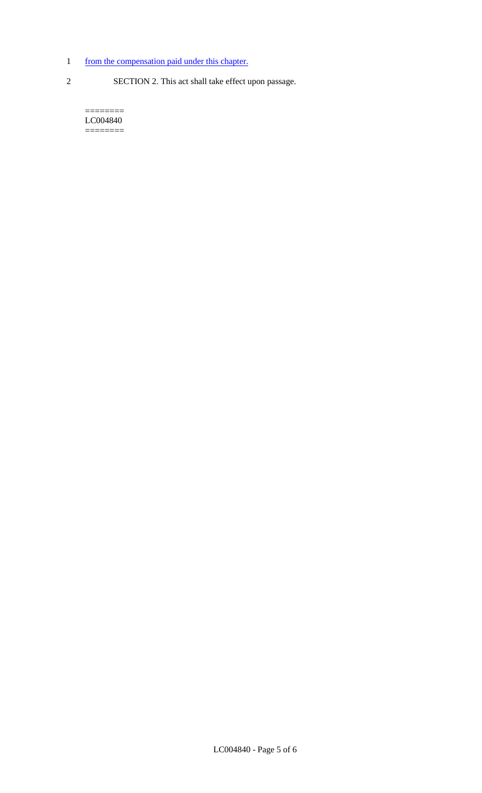- 1 from the compensation paid under this chapter.
- 
- 2 SECTION 2. This act shall take effect upon passage.

======== LC004840  $=$